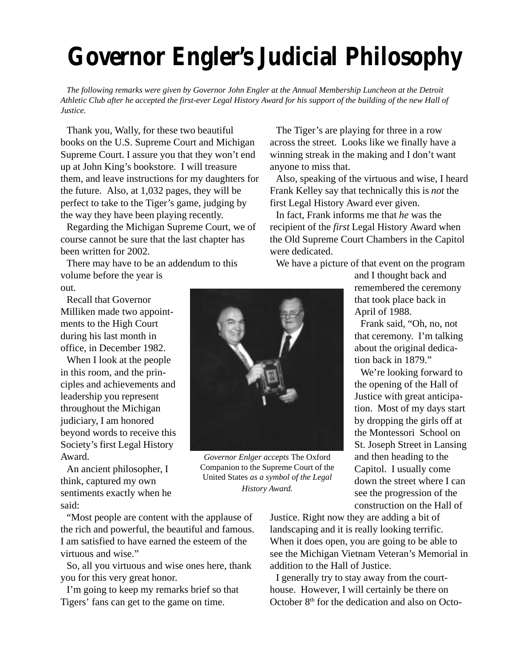## **Governor Engler's Judicial Philosophy**

*The following remarks were given by Governor John Engler at the Annual Membership Luncheon at the Detroit Athletic Club after he accepted the first-ever Legal History Award for his support of the building of the new Hall of Justice.*

Thank you, Wally, for these two beautiful books on the U.S. Supreme Court and Michigan Supreme Court. I assure you that they won't end up at John King's bookstore. I will treasure them, and leave instructions for my daughters for the future. Also, at 1,032 pages, they will be perfect to take to the Tiger's game, judging by the way they have been playing recently.

Regarding the Michigan Supreme Court, we of course cannot be sure that the last chapter has been written for 2002.

There may have to be an addendum to this volume before the year is out.

Recall that Governor Milliken made two appointments to the High Court during his last month in office, in December 1982.

When I look at the people in this room, and the principles and achievements and leadership you represent throughout the Michigan judiciary, I am honored beyond words to receive this Society's first Legal History Award.

An ancient philosopher, I think, captured my own sentiments exactly when he said:

"Most people are content with the applause of the rich and powerful, the beautiful and famous. I am satisfied to have earned the esteem of the virtuous and wise."

So, all you virtuous and wise ones here, thank you for this very great honor.

I'm going to keep my remarks brief so that Tigers' fans can get to the game on time.

The Tiger's are playing for three in a row across the street. Looks like we finally have a winning streak in the making and I don't want anyone to miss that.

Also, speaking of the virtuous and wise, I heard Frank Kelley say that technically this is *not* the first Legal History Award ever given.

In fact, Frank informs me that *he* was the recipient of the *first* Legal History Award when the Old Supreme Court Chambers in the Capitol were dedicated.

We have a picture of that event on the program



Frank said, "Oh, no, not that ceremony. I'm talking about the original dedication back in 1879."

We're looking forward to the opening of the Hall of Justice with great anticipation. Most of my days start by dropping the girls off at the Montessori School on St. Joseph Street in Lansing and then heading to the Capitol. I usually come down the street where I can see the progression of the construction on the Hall of

Justice. Right now they are adding a bit of landscaping and it is really looking terrific. When it does open, you are going to be able to see the Michigan Vietnam Veteran's Memorial in addition to the Hall of Justice.

I generally try to stay away from the courthouse. However, I will certainly be there on October 8th for the dedication and also on Octo-



*Governor Enlger accepts* The Oxford Companion to the Supreme Court of the United States *as a symbol of the Legal History Award.*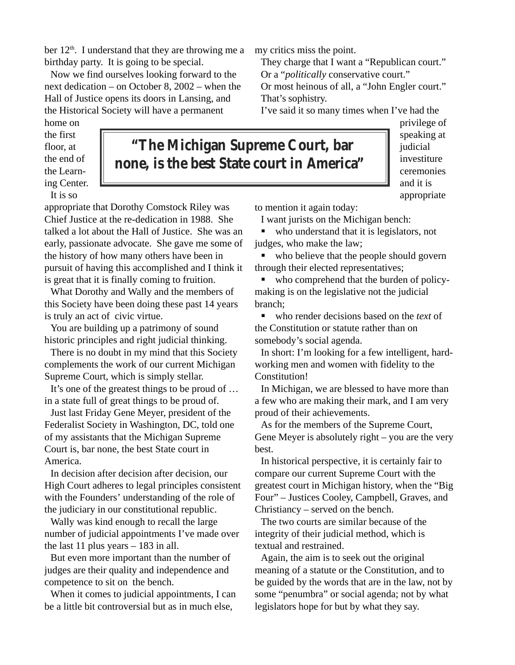ber  $12<sup>th</sup>$ . I understand that they are throwing me a birthday party. It is going to be special.

Now we find ourselves looking forward to the next dedication – on October 8, 2002 – when the Hall of Justice opens its doors in Lansing, and the Historical Society will have a permanent

home on the first floor, at the end of the Learning Center.

**"The Michigan Supreme Court, bar none, is the best State court in America"**

It is so

appropriate that Dorothy Comstock Riley was Chief Justice at the re-dedication in 1988. She talked a lot about the Hall of Justice. She was an early, passionate advocate. She gave me some of the history of how many others have been in pursuit of having this accomplished and I think it is great that it is finally coming to fruition.

What Dorothy and Wally and the members of this Society have been doing these past 14 years is truly an act of civic virtue.

You are building up a patrimony of sound historic principles and right judicial thinking.

There is no doubt in my mind that this Society complements the work of our current Michigan Supreme Court, which is simply stellar.

It's one of the greatest things to be proud of … in a state full of great things to be proud of.

Just last Friday Gene Meyer, president of the Federalist Society in Washington, DC, told one of my assistants that the Michigan Supreme Court is, bar none, the best State court in America.

In decision after decision after decision, our High Court adheres to legal principles consistent with the Founders' understanding of the role of the judiciary in our constitutional republic.

Wally was kind enough to recall the large number of judicial appointments I've made over the last 11 plus years  $-183$  in all.

But even more important than the number of judges are their quality and independence and competence to sit on the bench.

When it comes to judicial appointments, I can be a little bit controversial but as in much else,

my critics miss the point.

They charge that I want a "Republican court." Or a "*politically* conservative court." Or most heinous of all, a "John Engler court."

That's sophistry.

I've said it so many times when I've had the

privilege of speaking at judicial investiture ceremonies and it is appropriate

to mention it again today:

I want jurists on the Michigan bench:

who understand that it is legislators, not judges, who make the law;

• who believe that the people should govern through their elected representatives;

• who comprehend that the burden of policymaking is on the legislative not the judicial branch;

■ who render decisions based on the *text* of the Constitution or statute rather than on somebody's social agenda.

In short: I'm looking for a few intelligent, hardworking men and women with fidelity to the Constitution!

In Michigan, we are blessed to have more than a few who are making their mark, and I am very proud of their achievements.

As for the members of the Supreme Court, Gene Meyer is absolutely right – you are the very best.

In historical perspective, it is certainly fair to compare our current Supreme Court with the greatest court in Michigan history, when the "Big Four" – Justices Cooley, Campbell, Graves, and Christiancy – served on the bench.

The two courts are similar because of the integrity of their judicial method, which is textual and restrained.

Again, the aim is to seek out the original meaning of a statute or the Constitution, and to be guided by the words that are in the law, not by some "penumbra" or social agenda; not by what legislators hope for but by what they say.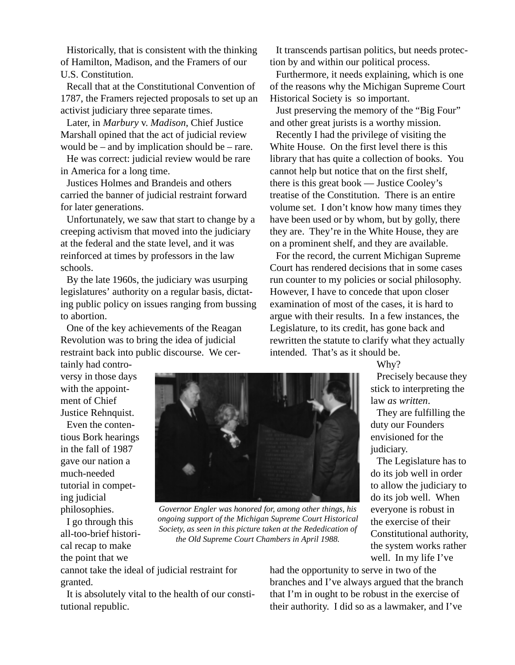Historically, that is consistent with the thinking of Hamilton, Madison, and the Framers of our U.S. Constitution.

Recall that at the Constitutional Convention of 1787, the Framers rejected proposals to set up an activist judiciary three separate times.

Later, in *Marbury* v. *Madison*, Chief Justice Marshall opined that the act of judicial review would be – and by implication should be – rare.

He was correct: judicial review would be rare in America for a long time.

Justices Holmes and Brandeis and others carried the banner of judicial restraint forward for later generations.

Unfortunately, we saw that start to change by a creeping activism that moved into the judiciary at the federal and the state level, and it was reinforced at times by professors in the law schools.

By the late 1960s, the judiciary was usurping legislatures' authority on a regular basis, dictating public policy on issues ranging from bussing to abortion.

One of the key achievements of the Reagan Revolution was to bring the idea of judicial restraint back into public discourse. We cer-

It transcends partisan politics, but needs protection by and within our political process.

Furthermore, it needs explaining, which is one of the reasons why the Michigan Supreme Court Historical Society is so important.

Just preserving the memory of the "Big Four" and other great jurists is a worthy mission.

Recently I had the privilege of visiting the White House. On the first level there is this library that has quite a collection of books. You cannot help but notice that on the first shelf, there is this great book — Justice Cooley's treatise of the Constitution. There is an entire volume set. I don't know how many times they have been used or by whom, but by golly, there they are. They're in the White House, they are on a prominent shelf, and they are available.

For the record, the current Michigan Supreme Court has rendered decisions that in some cases run counter to my policies or social philosophy. However, I have to concede that upon closer examination of most of the cases, it is hard to argue with their results. In a few instances, the Legislature, to its credit, has gone back and rewritten the statute to clarify what they actually intended. That's as it should be.

tainly had controversy in those days with the appointment of Chief Justice Rehnquist.

Even the contentious Bork hearings in the fall of 1987 gave our nation a much-needed tutorial in competing judicial philosophies.

I go through this all-too-brief historical recap to make the point that we



*Governor Engler was honored for, among other things, his ongoing support of the Michigan Supreme Court Historical Society, as seen in this picture taken at the Rededication of the Old Supreme Court Chambers in April 1988.*

Why?

Precisely because they stick to interpreting the law *as written*.

They are fulfilling the duty our Founders envisioned for the judiciary.

The Legislature has to do its job well in order to allow the judiciary to do its job well. When everyone is robust in the exercise of their Constitutional authority, the system works rather well. In my life I've

cannot take the ideal of judicial restraint for granted.

It is absolutely vital to the health of our constitutional republic.

had the opportunity to serve in two of the branches and I've always argued that the branch that I'm in ought to be robust in the exercise of their authority. I did so as a lawmaker, and I've